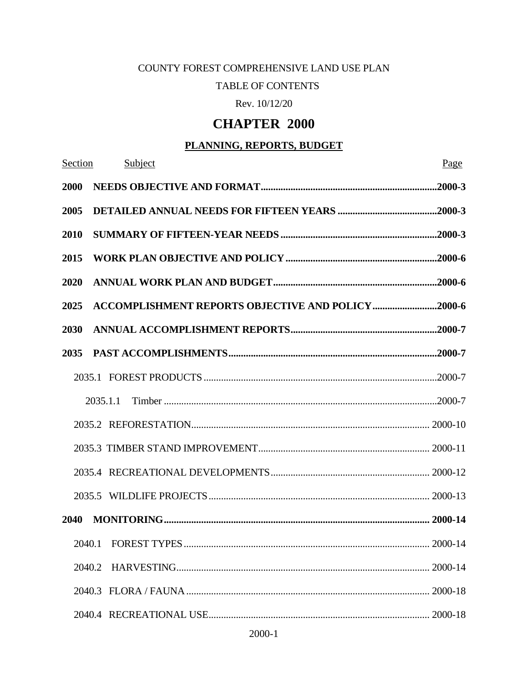### COUNTY FOREST COMPREHENSIVE LAND USE PLAN

### TABLE OF CONTENTS

Rev. 10/12/20

### **CHAPTER 2000**

### **PLANNING, REPORTS, BUDGET**

| Section |          | Subject                                                   | Page    |
|---------|----------|-----------------------------------------------------------|---------|
| 2000    |          |                                                           |         |
| 2005    |          |                                                           |         |
| 2010    |          |                                                           |         |
| 2015    |          |                                                           |         |
| 2020    |          |                                                           |         |
| 2025    |          | <b>ACCOMPLISHMENT REPORTS OBJECTIVE AND POLICY 2000-6</b> |         |
| 2030    |          |                                                           |         |
| 2035    |          |                                                           |         |
|         |          |                                                           |         |
|         | 2035.1.1 |                                                           |         |
|         |          |                                                           |         |
|         |          |                                                           |         |
|         |          |                                                           |         |
|         |          |                                                           |         |
| 2040    |          |                                                           |         |
|         |          | 2040.1 FOREST TYPES                                       | 2000-14 |
|         | 2040.2   |                                                           |         |
|         |          |                                                           |         |
|         |          |                                                           |         |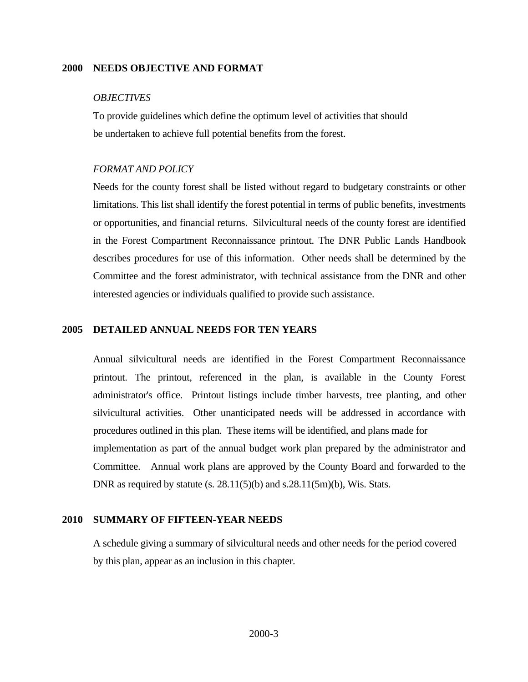#### <span id="page-2-0"></span>**2000 NEEDS OBJECTIVE AND FORMAT**

#### *OBJECTIVES*

To provide guidelines which define the optimum level of activities that should be undertaken to achieve full potential benefits from the forest.

#### *FORMAT AND POLICY*

Needs for the county forest shall be listed without regard to budgetary constraints or other limitations. This list shall identify the forest potential in terms of public benefits, investments or opportunities, and financial returns. Silvicultural needs of the county forest are identified in the Forest Compartment Reconnaissance printout. The DNR Public Lands Handbook describes procedures for use of this information. Other needs shall be determined by the Committee and the forest administrator, with technical assistance from the DNR and other interested agencies or individuals qualified to provide such assistance.

#### <span id="page-2-1"></span>**2005 DETAILED ANNUAL NEEDS FOR TEN YEARS**

Annual silvicultural needs are identified in the Forest Compartment Reconnaissance printout. The printout, referenced in the plan, is available in the County Forest administrator's office. Printout listings include timber harvests, tree planting, and other silvicultural activities. Other unanticipated needs will be addressed in accordance with procedures outlined in this plan. These items will be identified, and plans made for implementation as part of the annual budget work plan prepared by the administrator and Committee. Annual work plans are approved by the County Board and forwarded to the DNR as required by statute  $(s. 28.11(5)(b)$  and  $s.28.11(5m)(b)$ , Wis. Stats.

#### <span id="page-2-2"></span>**2010 SUMMARY OF FIFTEEN-YEAR NEEDS**

A schedule giving a summary of silvicultural needs and other needs for the period covered by this plan, appear as an inclusion in this chapter.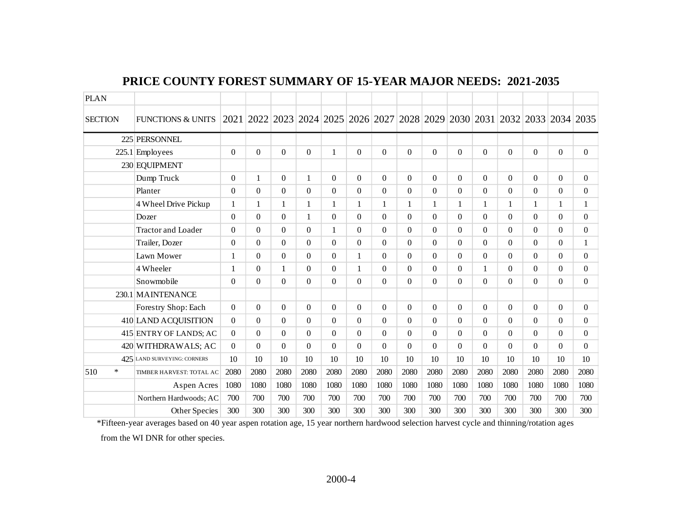| <b>PLAN</b>    |                              |                |              |              |              |                  |                  |          |              |          |              |                  |              |          |                |                                                                            |
|----------------|------------------------------|----------------|--------------|--------------|--------------|------------------|------------------|----------|--------------|----------|--------------|------------------|--------------|----------|----------------|----------------------------------------------------------------------------|
| <b>SECTION</b> | <b>FUNCTIONS &amp; UNITS</b> |                |              |              |              |                  |                  |          |              |          |              |                  |              |          |                | 2021 2022 2023 2024 2025 2026 2027 2028 2029 2030 2031 2032 2033 2034 2035 |
|                | 225 PERSONNEL                |                |              |              |              |                  |                  |          |              |          |              |                  |              |          |                |                                                                            |
|                | $225.1$ Employees            | $\Omega$       | $\Omega$     | $\Omega$     | $\Omega$     | $\mathbf{1}$     | $\Omega$         | $\Omega$ | $\Omega$     | $\Omega$ | $\Omega$     | $\mathbf{0}$     | $\Omega$     | $\Omega$ | $\mathbf{0}$   | $\Omega$                                                                   |
|                | 230 EQUIPMENT                |                |              |              |              |                  |                  |          |              |          |              |                  |              |          |                |                                                                            |
|                | Dump Truck                   | $\Omega$       | $\mathbf{1}$ | $\Omega$     | $\mathbf{1}$ | $\boldsymbol{0}$ | $\boldsymbol{0}$ | $\Omega$ | $\Omega$     | $\theta$ | $\Omega$     | $\mathbf{0}$     | $\Omega$     | $\Omega$ | $\overline{0}$ | $\Omega$                                                                   |
|                | Planter                      | $\Omega$       | $\theta$     | $\Omega$     | $\Omega$     | $\Omega$         | $\boldsymbol{0}$ | $\Omega$ | $\Omega$     | $\Omega$ | $\Omega$     | $\Omega$         | $\Omega$     | $\Omega$ | $\Omega$       | $\Omega$                                                                   |
|                | 4 Wheel Drive Pickup         | $\mathbf{1}$   | $\mathbf{1}$ | $\mathbf{1}$ | $\mathbf{1}$ | $\mathbf{1}$     | 1                | 1        | $\mathbf{1}$ | 1        | $\mathbf{1}$ | $\mathbf 1$      | $\mathbf{1}$ | 1        | $\mathbf{1}$   |                                                                            |
|                | Dozer                        | $\Omega$       | $\Omega$     | $\Omega$     | $\mathbf{1}$ | $\Omega$         | $\Omega$         | $\Omega$ | $\Omega$     | $\Omega$ | $\Omega$     | $\mathbf{0}$     | $\Omega$     | $\Omega$ | $\Omega$       | $\Omega$                                                                   |
|                | <b>Tractor and Loader</b>    | $\Omega$       | $\Omega$     | $\Omega$     | $\Omega$     | $\mathbf{1}$     | $\boldsymbol{0}$ | $\Omega$ | $\Omega$     | $\Omega$ | $\Omega$     | $\mathbf{0}$     | $\Omega$     | $\Omega$ | $\Omega$       | $\Omega$                                                                   |
|                | Trailer, Dozer               | $\Omega$       | $\Omega$     | $\Omega$     | $\Omega$     | $\overline{0}$   | $\Omega$         | $\Omega$ | $\Omega$     | $\Omega$ | $\Omega$     | $\mathbf{0}$     | $\Omega$     | $\Omega$ | $\Omega$       |                                                                            |
|                | Lawn Mower                   | $\mathbf{1}$   | $\Omega$     | $\Omega$     | $\Omega$     | $\boldsymbol{0}$ | 1                | $\Omega$ | $\Omega$     | $\Omega$ | $\Omega$     | $\mathbf{0}$     | $\Omega$     | $\Omega$ | $\Omega$       | $\Omega$                                                                   |
|                | 4 Wheeler                    | 1              | $\Omega$     | $\mathbf{1}$ | $\Omega$     | $\boldsymbol{0}$ | 1                | $\Omega$ | $\Omega$     | $\Omega$ | $\Omega$     | $\mathbf{1}$     | $\Omega$     | $\Omega$ | $\Omega$       | $\Omega$                                                                   |
|                | Snowmobile                   | $\Omega$       | $\theta$     | $\Omega$     | $\Omega$     | $\overline{0}$   | $\boldsymbol{0}$ | $\Omega$ | $\Omega$     | $\Omega$ | $\Omega$     | $\boldsymbol{0}$ | $\Omega$     | $\Omega$ | $\Omega$       | $\Omega$                                                                   |
|                | 230.1 MAINTENANCE            |                |              |              |              |                  |                  |          |              |          |              |                  |              |          |                |                                                                            |
|                | Forestry Shop: Each          | $\overline{0}$ | $\Omega$     | $\Omega$     | $\Omega$     | $\boldsymbol{0}$ | $\boldsymbol{0}$ | $\Omega$ | $\Omega$     | $\Omega$ | $\Omega$     | $\mathbf{0}$     | $\Omega$     | $\Omega$ | $\mathbf{0}$   | $\overline{0}$                                                             |
|                | 410 LAND ACQUISITION         | $\Omega$       | $\Omega$     | $\Omega$     | $\Omega$     | $\boldsymbol{0}$ | $\overline{0}$   | $\Omega$ | $\Omega$     | $\Omega$ | $\Omega$     | $\mathbf{0}$     | $\Omega$     | $\Omega$ | $\theta$       | $\Omega$                                                                   |
|                | 415 ENTRY OF LANDS; AC       | $\overline{0}$ | $\Omega$     | $\Omega$     | $\Omega$     | $\overline{0}$   | $\boldsymbol{0}$ | $\Omega$ | $\Omega$     | $\Omega$ | $\Omega$     | $\boldsymbol{0}$ | $\Omega$     | $\Omega$ | $\Omega$       | $\overline{0}$                                                             |
|                | 420 WITHDRAWALS; AC          | $\Omega$       | $\Omega$     | $\Omega$     | $\Omega$     | $\Omega$         | $\Omega$         | $\Omega$ | $\Omega$     | $\Omega$ | $\Omega$     | $\Omega$         | $\Omega$     | $\Omega$ | $\Omega$       | $\Omega$                                                                   |
|                | 425 LAND SURVEYING: CORNERS  | 10             | 10           | 10           | 10           | 10               | 10               | 10       | 10           | 10       | 10           | 10               | 10           | 10       | 10             | 10                                                                         |
| $\ast$<br>510  | TIMBER HARVEST: TOTAL AC     | 2080           | 2080         | 2080         | 2080         | 2080             | 2080             | 2080     | 2080         | 2080     | 2080         | 2080             | 2080         | 2080     | 2080           | 2080                                                                       |
|                | Aspen Acres                  | 1080           | 1080         | 1080         | 1080         | 1080             | 1080             | 1080     | 1080         | 1080     | 1080         | 1080             | 1080         | 1080     | 1080           | 1080                                                                       |
|                | Northern Hardwoods; AC       | 700            | 700          | 700          | 700          | 700              | 700              | 700      | 700          | 700      | 700          | 700              | 700          | 700      | 700            | 700                                                                        |
|                | Other Species                | 300            | 300          | 300          | 300          | 300              | 300              | 300      | 300          | 300      | 300          | 300              | 300          | 300      | 300            | 300                                                                        |

### **PRICE COUNTY FOREST SUMMARY OF 15-YEAR MAJOR NEEDS: 2021-2035**

\*Fifteen-year averages based on 40 year aspen rotation age, 15 year northern hardwood selection harvest cycle and thinning/rotation ages from the WI DNR for other species.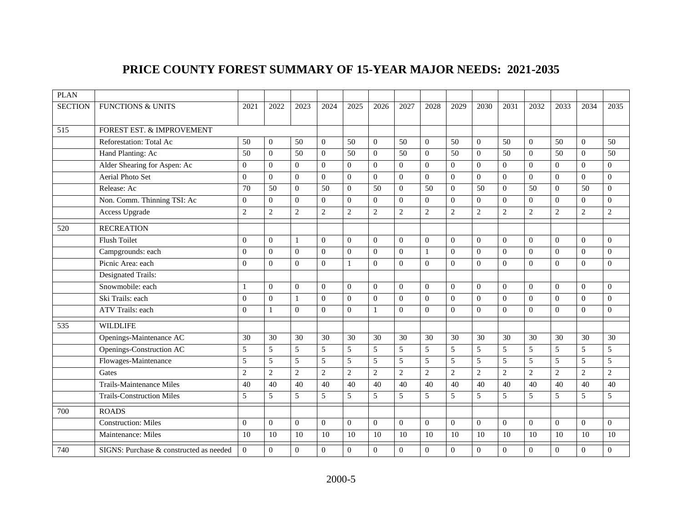# **PRICE COUNTY FOREST SUMMARY OF 15-YEAR MAJOR NEEDS: 2021-2035**

| <b>PLAN</b>    |                                         |                |                |                |                |                |                |                |                |                  |                |                |                |                |                |                |
|----------------|-----------------------------------------|----------------|----------------|----------------|----------------|----------------|----------------|----------------|----------------|------------------|----------------|----------------|----------------|----------------|----------------|----------------|
| <b>SECTION</b> | <b>FUNCTIONS &amp; UNITS</b>            | 2021           | 2022           | 2023           | 2024           | 2025           | 2026           | 2027           | 2028           | 2029             | 2030           | 2031           | 2032           | 2033           | 2034           | 2035           |
| 515            | FOREST EST. & IMPROVEMENT               |                |                |                |                |                |                |                |                |                  |                |                |                |                |                |                |
|                | Reforestation: Total Ac                 | 50             | $\mathbf{0}$   | 50             | $\Omega$       | 50             | $\Omega$       | 50             | $\theta$       | 50               | $\Omega$       | 50             | $\overline{0}$ | 50             | $\Omega$       | 50             |
|                | Hand Planting: Ac                       | 50             | $\overline{0}$ | 50             | $\Omega$       | 50             | $\overline{0}$ | 50             | $\overline{0}$ | 50               | $\Omega$       | 50             | $\overline{0}$ | 50             | $\theta$       | 50             |
|                | Alder Shearing for Aspen: Ac            | $\overline{0}$ | $\overline{0}$ | $\mathbf{0}$   | $\overline{0}$ | $\mathbf{0}$   | $\overline{0}$ | $\mathbf{0}$   | $\overline{0}$ | $\overline{0}$   | $\overline{0}$ | $\mathbf{0}$   | $\mathbf{0}$   | $\overline{0}$ | $\overline{0}$ | $\overline{0}$ |
|                | <b>Aerial Photo Set</b>                 | $\Omega$       | $\Omega$       | $\Omega$       | $\Omega$       | $\theta$       | $\Omega$       | $\Omega$       | $\theta$       | $\mathbf{0}$     | $\Omega$       | $\Omega$       | $\mathbf{0}$   | $\theta$       | $\Omega$       | $\overline{0}$ |
|                | Release: Ac                             | 70             | 50             | $\mathbf{0}$   | 50             | $\mathbf{0}$   | 50             | $\Omega$       | 50             | $\overline{0}$   | 50             | $\mathbf{0}$   | 50             | $\Omega$       | 50             | $\overline{0}$ |
|                | Non. Comm. Thinning TSI: Ac             | $\overline{0}$ | $\mathbf{0}$   | $\mathbf{0}$   | $\Omega$       | $\mathbf{0}$   | $\overline{0}$ | $\mathbf{0}$   | $\overline{0}$ | $\overline{0}$   | $\Omega$       | $\Omega$       | $\mathbf{0}$   | $\Omega$       | $\overline{0}$ | $\overline{0}$ |
|                | Access Upgrade                          | 2              | $\overline{c}$ | $\overline{2}$ | 2              | 2              | $\sqrt{2}$     | $\overline{2}$ | 2              | $\mathfrak{2}$   | 2              | $\overline{2}$ | $\mathfrak{2}$ | $\overline{2}$ | $\overline{2}$ | $\overline{2}$ |
| 520            | <b>RECREATION</b>                       |                |                |                |                |                |                |                |                |                  |                |                |                |                |                |                |
|                | <b>Flush Toilet</b>                     | $\overline{0}$ | $\overline{0}$ | $\mathbf{1}$   | $\Omega$       | $\theta$       | $\Omega$       | $\Omega$       | $\theta$       | $\Omega$         | $\Omega$       | $\Omega$       | $\overline{0}$ | $\theta$       | $\theta$       | $\Omega$       |
|                | Campgrounds: each                       | $\mathbf{0}$   | $\overline{0}$ | $\mathbf{0}$   | $\Omega$       | $\overline{0}$ | $\mathbf{0}$   | $\overline{0}$ | $\overline{1}$ | $\mathbf{0}$     | $\mathbf{0}$   | $\theta$       | $\mathbf{0}$   | $\Omega$       | $\mathbf{0}$   | $\overline{0}$ |
|                | Picnic Area: each                       | $\overline{0}$ | $\overline{0}$ | $\mathbf{0}$   | $\Omega$       | -1             | $\overline{0}$ | $\mathbf{0}$   | $\overline{0}$ | $\overline{0}$   | $\Omega$       | $\mathbf{0}$   | $\mathbf{0}$   | $\Omega$       | $\overline{0}$ | $\overline{0}$ |
|                | Designated Trails:                      |                |                |                |                |                |                |                |                |                  |                |                |                |                |                |                |
|                | Snowmobile: each                        | -1             | $\overline{0}$ | $\mathbf{0}$   | $\Omega$       | $\Omega$       | $\overline{0}$ | $\mathbf{0}$   | $\overline{0}$ | $\overline{0}$   | $\Omega$       | $\theta$       | $\overline{0}$ | $\Omega$       | $\overline{0}$ | $\overline{0}$ |
|                | Ski Trails: each                        | $\mathbf{0}$   | $\overline{0}$ | $\mathbf{1}$   | $\Omega$       | $\mathbf{0}$   | $\overline{0}$ | $\overline{0}$ | $\overline{0}$ | $\mathbf{0}$     | $\Omega$       | $\Omega$       | $\mathbf{0}$   | $\Omega$       | $\overline{0}$ | $\overline{0}$ |
|                | ATV Trails: each                        | $\overline{0}$ | $\mathbf{1}$   | $\Omega$       | $\Omega$       | $\mathbf{0}$   | 1              | $\Omega$       | $\overline{0}$ | $\mathbf{0}$     | $\Omega$       | $\theta$       | $\mathbf{0}$   | $\Omega$       | $\Omega$       | $\overline{0}$ |
| 535            | <b>WILDLIFE</b>                         |                |                |                |                |                |                |                |                |                  |                |                |                |                |                |                |
|                | Openings-Maintenance AC                 | 30             | 30             | 30             | 30             | 30             | 30             | 30             | 30             | 30               | 30             | 30             | 30             | 30             | 30             | 30             |
|                | Openings-Construction AC                | 5              | 5              | 5              | 5              | 5              | 5              | 5              | 5              | 5                | 5              | 5              | 5              | 5              | 5              | 5              |
|                | Flowages-Maintenance                    | 5              | 5              | 5              | 5              | 5              | 5              | 5              | 5              | 5                | 5              | 5              | 5              | 5              | 5              | 5              |
|                | Gates                                   | 2              | $\overline{c}$ | $\overline{2}$ | $\overline{2}$ | $\overline{2}$ | $\overline{2}$ | $\overline{2}$ | $\overline{2}$ | $\overline{2}$   | $\overline{2}$ | $\overline{c}$ | $\overline{2}$ | $\overline{2}$ | $\overline{2}$ | $\overline{2}$ |
|                | <b>Trails-Maintenance Miles</b>         | 40             | 40             | 40             | 40             | 40             | 40             | 40             | 40             | 40               | 40             | 40             | 40             | 40             | 40             | 40             |
|                | <b>Trails-Construction Miles</b>        | 5              | 5              | 5              | 5              | 5              | 5              | 5              | 5              | 5                | 5              | 5              | 5              | 5              | 5              | 5              |
| 700            | <b>ROADS</b>                            |                |                |                |                |                |                |                |                |                  |                |                |                |                |                |                |
|                | <b>Construction: Miles</b>              | $\mathbf{0}$   | $\overline{0}$ | $\mathbf{0}$   | $\Omega$       | $\Omega$       | $\overline{0}$ | $\overline{0}$ | $\overline{0}$ | $\boldsymbol{0}$ | $\Omega$       | $\Omega$       | $\mathbf{0}$   | $\theta$       | $\overline{0}$ | $\overline{0}$ |
|                | Maintenance: Miles                      | 10             | 10             | 10             | 10             | 10             | 10             | 10             | 10             | 10               | 10             | 10             | 10             | 10             | 10             | 10             |
| 740            | SIGNS: Purchase & constructed as needed | $\overline{0}$ | $\mathbf{0}$   | $\mathbf{0}$   | $\overline{0}$ | $\mathbf{0}$   | $\theta$       | $\mathbf{0}$   | $\mathbf{0}$   | $\overline{0}$   | $\mathbf{0}$   | $\theta$       | $\mathbf{0}$   | $\theta$       | $\mathbf{0}$   | $\overline{0}$ |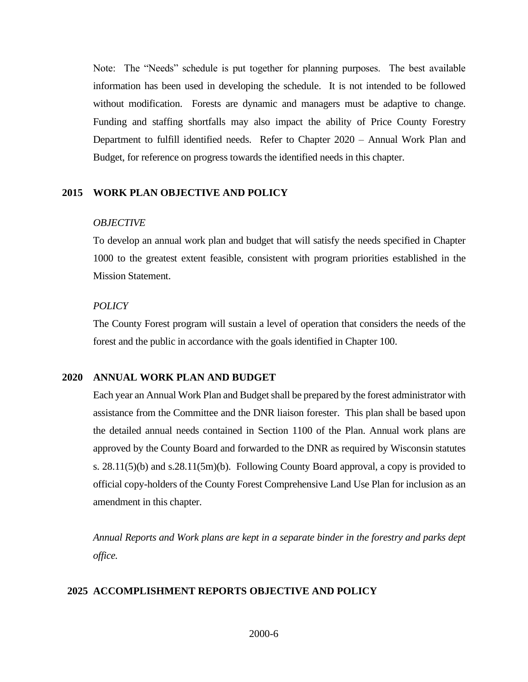Note: The "Needs" schedule is put together for planning purposes. The best available information has been used in developing the schedule. It is not intended to be followed without modification. Forests are dynamic and managers must be adaptive to change. Funding and staffing shortfalls may also impact the ability of Price County Forestry Department to fulfill identified needs. Refer to Chapter 2020 – Annual Work Plan and Budget, for reference on progress towards the identified needs in this chapter.

#### <span id="page-5-0"></span>**2015 WORK PLAN OBJECTIVE AND POLICY**

#### *OBJECTIVE*

To develop an annual work plan and budget that will satisfy the needs specified in Chapter 1000 to the greatest extent feasible, consistent with program priorities established in the Mission Statement.

#### *POLICY*

The County Forest program will sustain a level of operation that considers the needs of the forest and the public in accordance with the goals identified in Chapter 100.

#### <span id="page-5-1"></span>**2020 ANNUAL WORK PLAN AND BUDGET**

Each year an Annual Work Plan and Budget shall be prepared by the forest administrator with assistance from the Committee and the DNR liaison forester. This plan shall be based upon the detailed annual needs contained in Section 1100 of the Plan. Annual work plans are approved by the County Board and forwarded to the DNR as required by Wisconsin statutes s. 28.11(5)(b) and s.28.11(5m)(b). Following County Board approval, a copy is provided to official copy-holders of the County Forest Comprehensive Land Use Plan for inclusion as an amendment in this chapter.

*Annual Reports and Work plans are kept in a separate binder in the forestry and parks dept office.*

#### <span id="page-5-2"></span> **2025 ACCOMPLISHMENT REPORTS OBJECTIVE AND POLICY**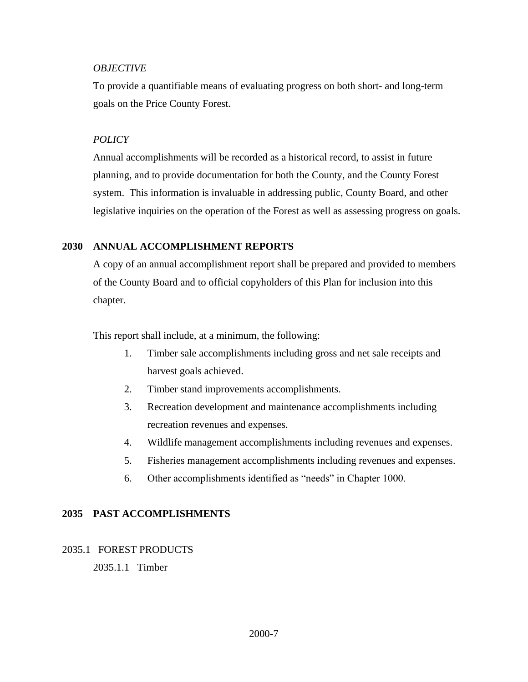#### *OBJECTIVE*

To provide a quantifiable means of evaluating progress on both short- and long-term goals on the Price County Forest.

#### *POLICY*

Annual accomplishments will be recorded as a historical record, to assist in future planning, and to provide documentation for both the County, and the County Forest system. This information is invaluable in addressing public, County Board, and other legislative inquiries on the operation of the Forest as well as assessing progress on goals.

#### <span id="page-6-0"></span>**2030 ANNUAL ACCOMPLISHMENT REPORTS**

A copy of an annual accomplishment report shall be prepared and provided to members of the County Board and to official copyholders of this Plan for inclusion into this chapter.

This report shall include, at a minimum, the following:

- 1. Timber sale accomplishments including gross and net sale receipts and harvest goals achieved.
- 2. Timber stand improvements accomplishments.
- 3. Recreation development and maintenance accomplishments including recreation revenues and expenses.
- 4. Wildlife management accomplishments including revenues and expenses.
- 5. Fisheries management accomplishments including revenues and expenses.
- 6. Other accomplishments identified as "needs" in Chapter 1000.

#### <span id="page-6-1"></span>**2035 PAST ACCOMPLISHMENTS**

#### <span id="page-6-3"></span><span id="page-6-2"></span>2035.1 FOREST PRODUCTS

2035.1.1 Timber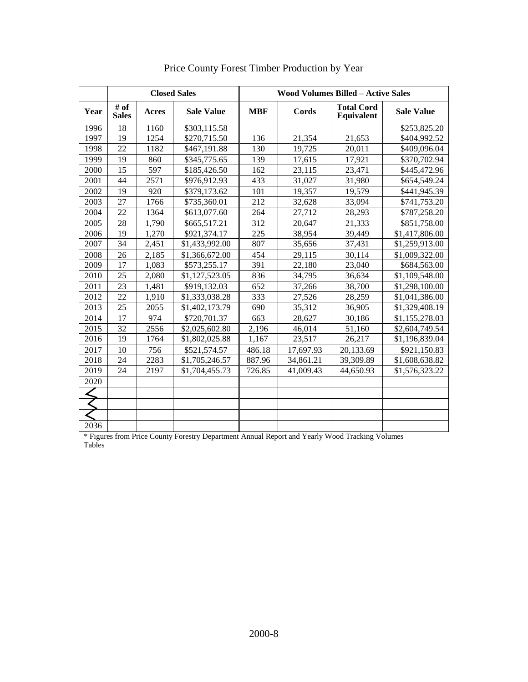|      |                      |              | <b>Closed Sales</b> |            | <b>Wood Volumes Billed - Active Sales</b> |                                 |                   |
|------|----------------------|--------------|---------------------|------------|-------------------------------------------|---------------------------------|-------------------|
| Year | # of<br><b>Sales</b> | <b>Acres</b> | <b>Sale Value</b>   | <b>MBF</b> | Cords                                     | <b>Total Cord</b><br>Equivalent | <b>Sale Value</b> |
| 1996 | 18                   | 1160         | \$303,115.58        |            |                                           |                                 | \$253,825.20      |
| 1997 | 19                   | 1254         | \$270,715.50        | 136        | 21,354                                    | 21,653                          | \$404,992.52      |
| 1998 | 22                   | 1182         | \$467,191.88        | 130        | 19,725                                    | 20,011                          | \$409,096.04      |
| 1999 | 19                   | 860          | \$345,775.65        | 139        | 17,615                                    | 17.921                          | \$370,702.94      |
| 2000 | 15                   | 597          | \$185,426.50        | 162        | 23,115                                    | 23,471                          | \$445,472.96      |
| 2001 | 44                   | 2571         | \$976,912.93        | 433        | 31,027                                    | 31,980                          | \$654,549.24      |
| 2002 | 19                   | 920          | \$379,173.62        | 101        | 19,357                                    | 19,579                          | \$441,945.39      |
| 2003 | 27                   | 1766         | \$735,360.01        | 212        | 32,628                                    | 33,094                          | \$741,753.20      |
| 2004 | 22                   | 1364         | \$613,077.60        | 264        | 27,712                                    | 28,293                          | \$787,258.20      |
| 2005 | 28                   | 1,790        | \$665,517.21        | 312        | 20,647                                    | 21,333                          | \$851,758.00      |
| 2006 | 19                   | 1,270        | \$921,374.17        | 225        | 38,954                                    | 39,449                          | \$1,417,806.00    |
| 2007 | 34                   | 2,451        | \$1,433,992.00      | 807        | 35,656                                    | 37,431                          | \$1,259,913.00    |
| 2008 | 26                   | 2,185        | \$1,366,672.00      | 454        | 29,115                                    | 30,114                          | \$1,009,322.00    |
| 2009 | 17                   | 1,083        | \$573,255.17        | 391        | 22,180                                    | 23,040                          | \$684,563.00      |
| 2010 | 25                   | 2,080        | \$1,127,523.05      | 836        | 34,795                                    | 36,634                          | \$1,109,548.00    |
| 2011 | 23                   | 1,481        | \$919,132.03        | 652        | 37,266                                    | 38,700                          | \$1,298,100.00    |
| 2012 | 22                   | 1,910        | \$1,333,038.28      | 333        | 27,526                                    | 28,259                          | \$1,041,386.00    |
| 2013 | 25                   | 2055         | \$1,402,173.79      | 690        | 35,312                                    | 36,905                          | \$1,329,408.19    |
| 2014 | 17                   | 974          | \$720,701.37        | 663        | 28,627                                    | 30,186                          | \$1,155,278.03    |
| 2015 | 32                   | 2556         | \$2,025,602.80      | 2,196      | 46,014                                    | 51,160                          | \$2,604,749.54    |
| 2016 | 19                   | 1764         | \$1,802,025.88      | 1,167      | 23,517                                    | 26,217                          | \$1,196,839.04    |
| 2017 | 10                   | 756          | \$521,574.57        | 486.18     | 17,697.93                                 | 20,133.69                       | \$921,150.83      |
| 2018 | 24                   | 2283         | \$1,705,246.57      | 887.96     | 34,861.21                                 | 39,309.89                       | \$1,608,638.82    |
| 2019 | 24                   | 2197         | \$1,704,455.73      | 726.85     | 41,009.43                                 | 44,650.93                       | \$1,576,323.22    |
| 2020 |                      |              |                     |            |                                           |                                 |                   |
|      |                      |              |                     |            |                                           |                                 |                   |
|      |                      |              |                     |            |                                           |                                 |                   |
|      |                      |              |                     |            |                                           |                                 |                   |
| 2036 |                      |              |                     |            |                                           |                                 |                   |

Price County Forest Timber Production by Year

\* Figures from Price County Forestry Department Annual Report and Yearly Wood Tracking Volumes Tables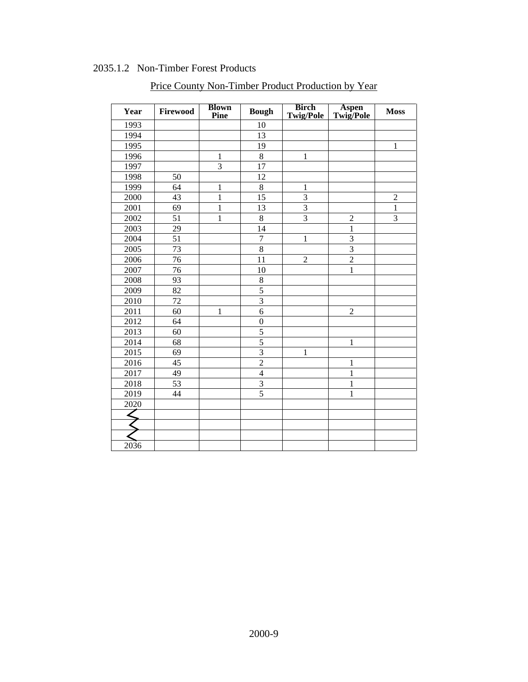### 2035.1.2 Non-Timber Forest Products

<span id="page-8-0"></span>

| Year | Firewood | <b>Blown</b><br>Pine | <b>Bough</b>     | <b>Birch</b><br><b>Twig/Pole</b> | Aspen<br>Twig/Pole | <b>Moss</b>    |
|------|----------|----------------------|------------------|----------------------------------|--------------------|----------------|
| 1993 |          |                      | 10               |                                  |                    |                |
| 1994 |          |                      | 13               |                                  |                    |                |
| 1995 |          |                      | 19               |                                  |                    | 1              |
| 1996 |          | $\mathbf{1}$         | 8                | $\mathbf{1}$                     |                    |                |
| 1997 |          | $\overline{3}$       | 17               |                                  |                    |                |
| 1998 | 50       |                      | 12               |                                  |                    |                |
| 1999 | 64       | $\mathbf{1}$         | $\,8\,$          | $\mathbf{1}$                     |                    |                |
| 2000 | 43       | $\mathbf{1}$         | $\overline{15}$  | $\overline{3}$                   |                    | $\overline{c}$ |
| 2001 | 69       | $\mathbf{1}$         | 13               | $\overline{3}$                   |                    | $\mathbf{1}$   |
| 2002 | 51       | $\mathbbm{1}$        | $8\,$            | $\overline{3}$                   | $\overline{c}$     | 3              |
| 2003 | 29       |                      | 14               |                                  | $\mathbf{1}$       |                |
| 2004 | 51       |                      | $\overline{7}$   | $\mathbf{1}$                     | 3                  |                |
| 2005 | 73       |                      | 8                |                                  | $\overline{3}$     |                |
| 2006 | 76       |                      | 11               | $\overline{2}$                   | $\overline{2}$     |                |
| 2007 | 76       |                      | 10               |                                  | $\mathbf{1}$       |                |
| 2008 | 93       |                      | $8\,$            |                                  |                    |                |
| 2009 | 82       |                      | $\overline{5}$   |                                  |                    |                |
| 2010 | 72       |                      | $\overline{3}$   |                                  |                    |                |
| 2011 | 60       | $\mathbf{1}$         | 6                |                                  | $\overline{2}$     |                |
| 2012 | 64       |                      | $\boldsymbol{0}$ |                                  |                    |                |
| 2013 | 60       |                      | 5                |                                  |                    |                |
| 2014 | 68       |                      | $\overline{5}$   |                                  | $\mathbf{1}$       |                |
| 2015 | 69       |                      | $\overline{3}$   | 1                                |                    |                |
| 2016 | 45       |                      | $\overline{2}$   |                                  | $\mathbf{1}$       |                |
| 2017 | 49       |                      | $\overline{4}$   |                                  | $\mathbf{1}$       |                |
| 2018 | 53       |                      | 3                |                                  | 1                  |                |
| 2019 | 44       |                      | 5                |                                  | $\mathbf{1}$       |                |
| 2020 |          |                      |                  |                                  |                    |                |
|      |          |                      |                  |                                  |                    |                |
|      |          |                      |                  |                                  |                    |                |
|      |          |                      |                  |                                  |                    |                |
| 2036 |          |                      |                  |                                  |                    |                |

Price County Non-Timber Product Production by Year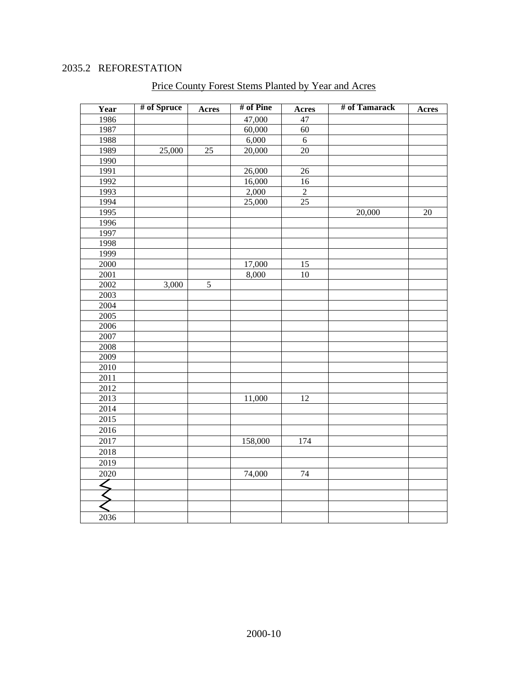### 2035.2 REFORESTATION

<span id="page-9-0"></span>

| Year | # of Spruce | Acres      | # of Pine | Acres           | # of Tamarack | Acres |
|------|-------------|------------|-----------|-----------------|---------------|-------|
| 1986 |             |            | 47,000    | 47              |               |       |
| 1987 |             |            | 60,000    | 60              |               |       |
| 1988 |             |            | 6,000     | 6               |               |       |
| 1989 | 25,000      | 25         | 20,000    | 20              |               |       |
| 1990 |             |            |           |                 |               |       |
| 1991 |             |            | 26,000    | 26              |               |       |
| 1992 |             |            | 16,000    | 16              |               |       |
| 1993 |             |            | 2,000     | $\overline{2}$  |               |       |
| 1994 |             |            | 25,000    | $\overline{25}$ |               |       |
| 1995 |             |            |           |                 | 20,000        | 20    |
| 1996 |             |            |           |                 |               |       |
| 1997 |             |            |           |                 |               |       |
| 1998 |             |            |           |                 |               |       |
| 1999 |             |            |           |                 |               |       |
| 2000 |             |            | 17,000    | 15              |               |       |
| 2001 |             |            | 8,000     | 10              |               |       |
| 2002 | 3,000       | $\sqrt{5}$ |           |                 |               |       |
| 2003 |             |            |           |                 |               |       |
| 2004 |             |            |           |                 |               |       |
| 2005 |             |            |           |                 |               |       |
| 2006 |             |            |           |                 |               |       |
| 2007 |             |            |           |                 |               |       |
| 2008 |             |            |           |                 |               |       |
| 2009 |             |            |           |                 |               |       |
| 2010 |             |            |           |                 |               |       |
| 2011 |             |            |           |                 |               |       |
| 2012 |             |            |           |                 |               |       |
| 2013 |             |            | 11,000    | 12              |               |       |
| 2014 |             |            |           |                 |               |       |
| 2015 |             |            |           |                 |               |       |
| 2016 |             |            |           |                 |               |       |
| 2017 |             |            | 158,000   | 174             |               |       |
| 2018 |             |            |           |                 |               |       |
| 2019 |             |            |           |                 |               |       |
| 2020 |             |            | 74,000    | 74              |               |       |
| ∠    |             |            |           |                 |               |       |
|      |             |            |           |                 |               |       |
|      |             |            |           |                 |               |       |
| 2036 |             |            |           |                 |               |       |
|      |             |            |           |                 |               |       |

### Price County Forest Stems Planted by Year and Acres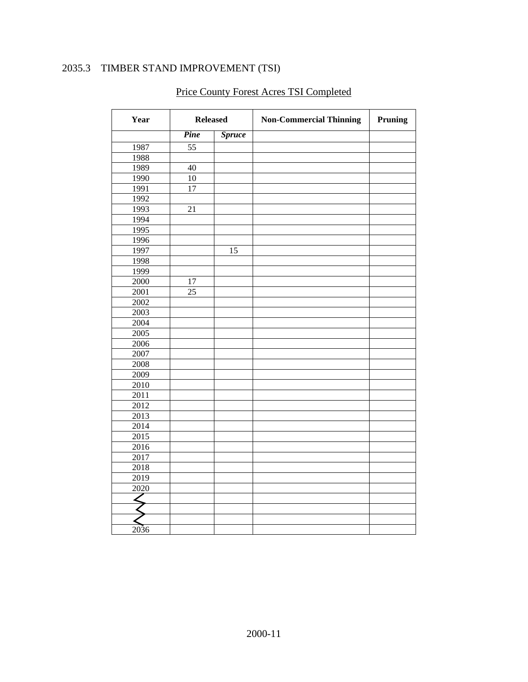### 2035.3 TIMBER STAND IMPROVEMENT (TSI)

<span id="page-10-0"></span>

| Year              |        | <b>Released</b> | <b>Non-Commercial Thinning</b> | Pruning |
|-------------------|--------|-----------------|--------------------------------|---------|
|                   | Pine   | <b>Spruce</b>   |                                |         |
| 1987              | 55     |                 |                                |         |
| 1988              |        |                 |                                |         |
| 1989              | 40     |                 |                                |         |
| 1990              | 10     |                 |                                |         |
| 1991              | $17\,$ |                 |                                |         |
| 1992              |        |                 |                                |         |
| 1993              | 21     |                 |                                |         |
| 1994              |        |                 |                                |         |
| 1995              |        |                 |                                |         |
| 1996              |        |                 |                                |         |
| 1997              |        | 15              |                                |         |
| 1998              |        |                 |                                |         |
| 1999              |        |                 |                                |         |
| 2000              | $17\,$ |                 |                                |         |
| 2001              | 25     |                 |                                |         |
| 2002              |        |                 |                                |         |
| 2003              |        |                 |                                |         |
| 2004              |        |                 |                                |         |
| 2005              |        |                 |                                |         |
| 2006              |        |                 |                                |         |
| 2007              |        |                 |                                |         |
| 2008              |        |                 |                                |         |
| 2009              |        |                 |                                |         |
| 2010              |        |                 |                                |         |
| 2011              |        |                 |                                |         |
| 2012              |        |                 |                                |         |
| 2013              |        |                 |                                |         |
| 2014              |        |                 |                                |         |
| $\overline{2015}$ |        |                 |                                |         |
| 2016              |        |                 |                                |         |
| 2017              |        |                 |                                |         |
| 2018              |        |                 |                                |         |
| 2019              |        |                 |                                |         |
| 2020              |        |                 |                                |         |
|                   |        |                 |                                |         |
|                   |        |                 |                                |         |
|                   |        |                 |                                |         |
| 2036              |        |                 |                                |         |

## Price County Forest Acres TSI Completed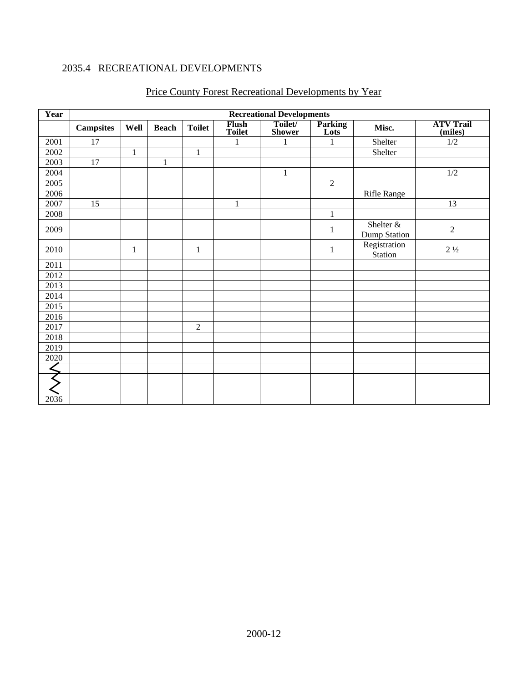### 2035.4 RECREATIONAL DEVELOPMENTS

<span id="page-11-0"></span>

| Year | <b>Recreational Developments</b> |              |              |                |                               |                          |                        |                           |                             |  |
|------|----------------------------------|--------------|--------------|----------------|-------------------------------|--------------------------|------------------------|---------------------------|-----------------------------|--|
|      | <b>Campsites</b>                 | Well         | <b>Beach</b> | <b>Toilet</b>  | <b>Flush</b><br><b>Toilet</b> | Toilet/<br><b>Shower</b> | <b>Parking</b><br>Lots | Misc.                     | <b>ATV Trail</b><br>(miles) |  |
| 2001 | 17                               |              |              |                | $\mathbf{1}$                  | $\mathbf{1}$             | $\mathbf{1}$           | Shelter                   | 1/2                         |  |
| 2002 |                                  | 1            |              | $\mathbf{1}$   |                               |                          |                        | Shelter                   |                             |  |
| 2003 | 17                               |              | $\mathbf{1}$ |                |                               |                          |                        |                           |                             |  |
| 2004 |                                  |              |              |                |                               | 1                        |                        |                           | $1/2\,$                     |  |
| 2005 |                                  |              |              |                |                               |                          | $\sqrt{2}$             |                           |                             |  |
| 2006 |                                  |              |              |                |                               |                          |                        | <b>Rifle Range</b>        |                             |  |
| 2007 | 15                               |              |              |                | 1                             |                          |                        |                           | 13                          |  |
| 2008 |                                  |              |              |                |                               |                          | $\mathbf{1}$           |                           |                             |  |
| 2009 |                                  |              |              |                |                               |                          | 1                      | Shelter &<br>Dump Station | $\mathfrak{2}$              |  |
| 2010 |                                  | $\mathbf{1}$ |              | $\mathbf{1}$   |                               |                          | $\mathbf{1}$           | Registration<br>Station   | $2\frac{1}{2}$              |  |
| 2011 |                                  |              |              |                |                               |                          |                        |                           |                             |  |
| 2012 |                                  |              |              |                |                               |                          |                        |                           |                             |  |
| 2013 |                                  |              |              |                |                               |                          |                        |                           |                             |  |
| 2014 |                                  |              |              |                |                               |                          |                        |                           |                             |  |
| 2015 |                                  |              |              |                |                               |                          |                        |                           |                             |  |
| 2016 |                                  |              |              |                |                               |                          |                        |                           |                             |  |
| 2017 |                                  |              |              | $\overline{2}$ |                               |                          |                        |                           |                             |  |
| 2018 |                                  |              |              |                |                               |                          |                        |                           |                             |  |
| 2019 |                                  |              |              |                |                               |                          |                        |                           |                             |  |
| 2020 |                                  |              |              |                |                               |                          |                        |                           |                             |  |
|      |                                  |              |              |                |                               |                          |                        |                           |                             |  |
|      |                                  |              |              |                |                               |                          |                        |                           |                             |  |
|      |                                  |              |              |                |                               |                          |                        |                           |                             |  |
| 2036 |                                  |              |              |                |                               |                          |                        |                           |                             |  |

### Price County Forest Recreational Developments by Year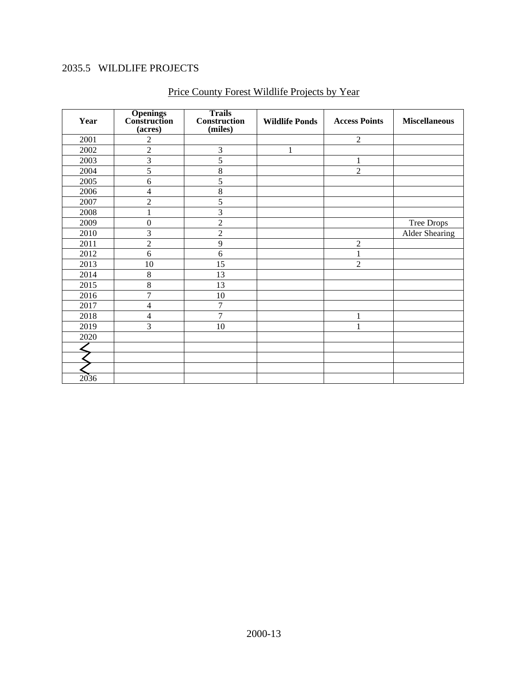### 2035.5 WILDLIFE PROJECTS

<span id="page-12-0"></span>

| Year | <b>Openings</b><br><b>Construction</b><br>(acres) | <b>Trails</b><br><b>Construction</b><br>(miles) | <b>Wildlife Ponds</b> | <b>Access Points</b> | <b>Miscellaneous</b>  |
|------|---------------------------------------------------|-------------------------------------------------|-----------------------|----------------------|-----------------------|
| 2001 | $\overline{2}$                                    |                                                 |                       | $\overline{2}$       |                       |
| 2002 | $\overline{2}$                                    | 3                                               | 1                     |                      |                       |
| 2003 | $\overline{3}$                                    | 5                                               |                       | 1                    |                       |
| 2004 | 5                                                 | 8                                               |                       | $\overline{2}$       |                       |
| 2005 | 6                                                 | 5                                               |                       |                      |                       |
| 2006 | 4                                                 | 8                                               |                       |                      |                       |
| 2007 | $\overline{2}$                                    | 5                                               |                       |                      |                       |
| 2008 | $\mathbf{1}$                                      | $\overline{3}$                                  |                       |                      |                       |
| 2009 | $\boldsymbol{0}$                                  | $\overline{2}$                                  |                       |                      | Tree Drops            |
| 2010 | 3                                                 | $\sqrt{2}$                                      |                       |                      | <b>Alder Shearing</b> |
| 2011 | $\overline{2}$                                    | $\overline{9}$                                  |                       | $\overline{2}$       |                       |
| 2012 | 6                                                 | 6                                               |                       |                      |                       |
| 2013 | 10                                                | 15                                              |                       | $\overline{2}$       |                       |
| 2014 | $\,8\,$                                           | 13                                              |                       |                      |                       |
| 2015 | 8                                                 | 13                                              |                       |                      |                       |
| 2016 | $\overline{7}$                                    | 10                                              |                       |                      |                       |
| 2017 | $\overline{\mathcal{L}}$                          | 7                                               |                       |                      |                       |
| 2018 | 4                                                 | $\overline{7}$                                  |                       | 1                    |                       |
| 2019 | 3                                                 | 10                                              |                       | 1                    |                       |
| 2020 |                                                   |                                                 |                       |                      |                       |
|      |                                                   |                                                 |                       |                      |                       |
|      |                                                   |                                                 |                       |                      |                       |
|      |                                                   |                                                 |                       |                      |                       |
| 2036 |                                                   |                                                 |                       |                      |                       |

### Price County Forest Wildlife Projects by Year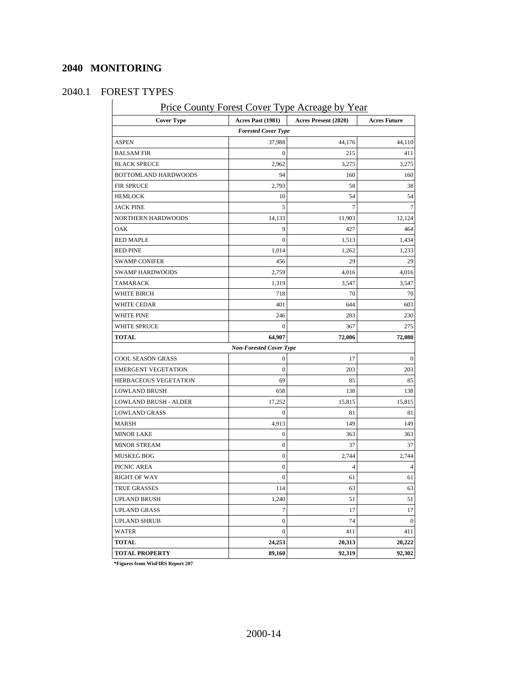### **2040 MONITORING**

<span id="page-13-1"></span> $\overline{\phantom{a}}$ 

### <span id="page-13-0"></span>2040.1 FOREST TYPES

Price County Forest Cover Type Acreage by Year

| * ****<br>,<br><b>Cover Type</b> | Acres Past (1981)              | 110104,0<br>Acres Present (2020) | ັບແມ<br><b>Acres Future</b> |
|----------------------------------|--------------------------------|----------------------------------|-----------------------------|
|                                  | <b>Forested Cover Type</b>     |                                  |                             |
| <b>ASPEN</b>                     | 37,988                         | 44,176                           | 44,110                      |
| <b>BALSAM FIR</b>                | 0                              | 215                              | 411                         |
| <b>BLACK SPRUCE</b>              | 2,962                          | 3,275                            | 3,275                       |
| BOTTOMLAND HARDWOODS             | 94                             | 160                              | 160                         |
| FIR SPRUCE                       | 2,793                          | 58                               | 38                          |
| <b>HEMLOCK</b>                   | 10                             | 54                               | 54                          |
| <b>JACK PINE</b>                 | 5                              | 7                                | $\overline{7}$              |
| NORTHERN HARDWOODS               | 14,133                         | 11,903                           | 12,124                      |
| OAK                              | 9                              | 427                              | 464                         |
| RED MAPLE                        | $\boldsymbol{0}$               | 1,513                            | 1,434                       |
| <b>RED PINE</b>                  | 1,014                          | 1,262                            | 1,233                       |
| <b>SWAMP CONIFER</b>             | 456                            | 29                               | 29                          |
| <b>SWAMP HARDWOODS</b>           | 2,759                          | 4,016                            | 4,016                       |
| <b>TAMARACK</b>                  | 1,319                          | 3,547                            | 3,547                       |
| WHITE BIRCH                      | 718                            | 70                               | 70                          |
| WHITE CEDAR                      | 401                            | 644                              | 603                         |
| <b>WHITE PINE</b>                | 246                            | 283                              | 230                         |
| WHITE SPRUCE                     | $\theta$                       | 367                              | 275                         |
| <b>TOTAL</b>                     | 64,907                         | 72,006                           | 72,080                      |
|                                  | <b>Non-Forested Cover Type</b> |                                  |                             |
| COOL SEASON GRASS                | $\boldsymbol{0}$               | 17                               | $\boldsymbol{0}$            |
| <b>EMERGENT VEGETATION</b>       | 0                              | 203                              | 203                         |
| HERBACEOUS VEGETATION            | 69                             | 85                               | 85                          |
| <b>LOWLAND BRUSH</b>             | 658                            | 138                              | 138                         |
| LOWLAND BRUSH - ALDER            | 17,252                         | 15,815                           | 15,815                      |
| <b>LOWLAND GRASS</b>             | $\boldsymbol{0}$               | 81                               | 81                          |
| MARSH                            | 4,913                          | 149                              | 149                         |
| <b>MINOR LAKE</b>                | $\mathbf{0}$                   | 363                              | 363                         |
| <b>MINOR STREAM</b>              | 0                              | 37                               | 37                          |
| <b>MUSKEG BOG</b>                | 0                              | 2,744                            | 2,744                       |
| PICNIC AREA                      | $\mathbf{0}$                   | 4                                | 4                           |
| <b>RIGHT OF WAY</b>              | $\overline{0}$                 | 61                               | 61                          |
| TRUE GRASSES                     | 114                            | 63                               | 63                          |
| <b>UPLAND BRUSH</b>              | 1,240                          | 51                               | 51                          |
| <b>UPLAND GRASS</b>              | 7                              | 17                               | 17                          |
| <b>UPLAND SHRUB</b>              | $\boldsymbol{0}$               | 74                               | $\boldsymbol{0}$            |
| WATER                            | $\overline{0}$                 | 411                              | 411                         |
| <b>TOTAL</b>                     | 24,253                         | 20,313                           | 20,222                      |
| <b>TOTAL PROPERTY</b>            | 89,160                         | 92,319                           | 92,302                      |

**\*Figures from WisFIRS Report 207**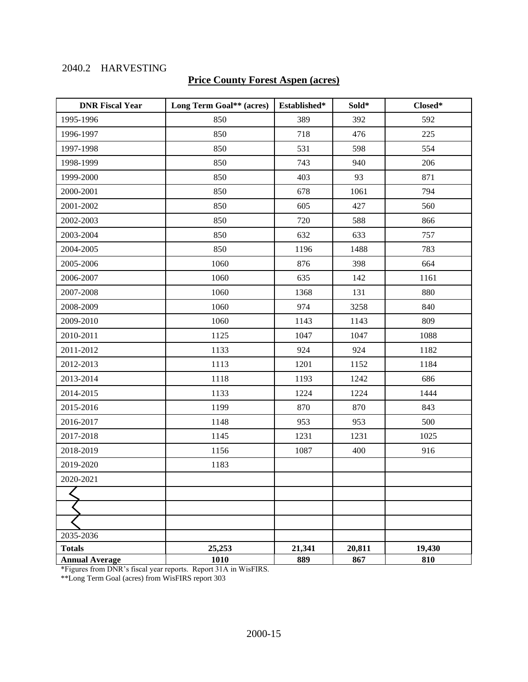### 2040.2 HARVESTING

### **Price County Forest Aspen (acres)**

| <b>DNR Fiscal Year</b> | Long Term Goal** (acres) | Established* | Sold*  | Closed* |
|------------------------|--------------------------|--------------|--------|---------|
| 1995-1996              | 850                      | 389          | 392    | 592     |
| 1996-1997              | 850                      | 718          | 476    | 225     |
| 1997-1998              | 850                      | 531          | 598    | 554     |
| 1998-1999              | 850                      | 743          | 940    | 206     |
| 1999-2000              | 850                      | 403          | 93     | 871     |
| 2000-2001              | 850                      | 678          | 1061   | 794     |
| 2001-2002              | 850                      | 605          | 427    | 560     |
| 2002-2003              | 850                      | 720          | 588    | 866     |
| 2003-2004              | 850                      | 632          | 633    | 757     |
| 2004-2005              | 850                      | 1196         | 1488   | 783     |
| 2005-2006              | 1060                     | 876          | 398    | 664     |
| 2006-2007              | 1060                     | 635          | 142    | 1161    |
| 2007-2008              | 1060                     | 1368         | 131    | 880     |
| 2008-2009              | 1060                     | 974          | 3258   | 840     |
| 2009-2010              | 1060                     | 1143         | 1143   | 809     |
| 2010-2011              | 1125                     | 1047         | 1047   | 1088    |
| 2011-2012              | 1133                     | 924          | 924    | 1182    |
| 2012-2013              | 1113                     | 1201         | 1152   | 1184    |
| 2013-2014              | 1118                     | 1193         | 1242   | 686     |
| 2014-2015              | 1133                     | 1224         | 1224   | 1444    |
| 2015-2016              | 1199                     | 870          | 870    | 843     |
| 2016-2017              | 1148                     | 953          | 953    | 500     |
| 2017-2018              | 1145                     | 1231         | 1231   | 1025    |
| 2018-2019              | 1156                     | 1087         | 400    | 916     |
| 2019-2020              | 1183                     |              |        |         |
| 2020-2021              |                          |              |        |         |
|                        |                          |              |        |         |
|                        |                          |              |        |         |
|                        |                          |              |        |         |
| 2035-2036              |                          |              |        |         |
| <b>Totals</b>          | 25,253                   | 21,341       | 20,811 | 19,430  |
| <b>Annual Average</b>  | 1010                     | 889          | 867    | 810     |

\*Figures from DNR's fiscal year reports. Report 31A in WisFIRS.

\*\*Long Term Goal (acres) from WisFIRS report 303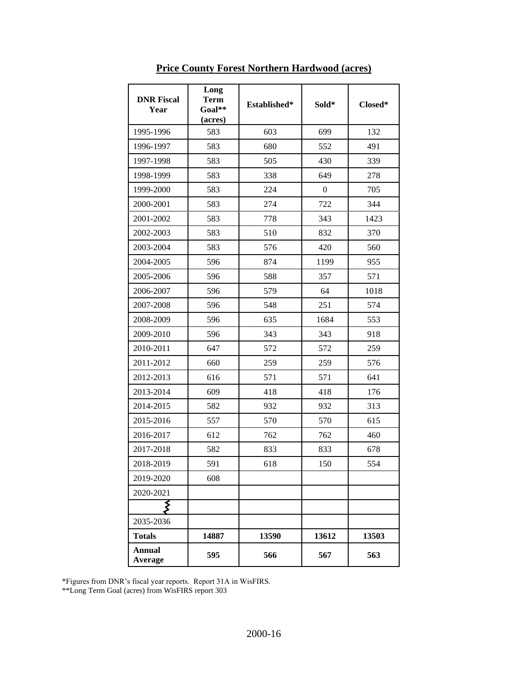| <b>DNR Fiscal</b><br>Year | Long<br><b>Term</b><br>$Goal**$<br>(acres) | Established* | Sold*        | Closed* |
|---------------------------|--------------------------------------------|--------------|--------------|---------|
| 1995-1996                 | 583                                        | 603          | 699          | 132     |
| 1996-1997                 | 583                                        | 680          | 552          | 491     |
| 1997-1998                 | 583                                        | 505          | 430          | 339     |
| 1998-1999                 | 583                                        | 338          | 649          | 278     |
| 1999-2000                 | 583                                        | 224          | $\mathbf{0}$ | 705     |
| 2000-2001                 | 583                                        | 274          | 722          | 344     |
| 2001-2002                 | 583                                        | 778          | 343          | 1423    |
| 2002-2003                 | 583                                        | 510          | 832          | 370     |
| 2003-2004                 | 583                                        | 576          | 420          | 560     |
| 2004-2005                 | 596                                        | 874          | 1199         | 955     |
| 2005-2006                 | 596                                        | 588          | 357          | 571     |
| 2006-2007                 | 596                                        | 579          | 64           | 1018    |
| 2007-2008                 | 596                                        | 548          | 251          | 574     |
| 2008-2009                 | 596                                        | 635          | 1684         | 553     |
| 2009-2010                 | 596                                        | 343          | 343          | 918     |
| 2010-2011                 | 647                                        | 572          | 572          | 259     |
| 2011-2012                 | 660                                        | 259          | 259          | 576     |
| 2012-2013                 | 616                                        | 571          | 571          | 641     |
| 2013-2014                 | 609                                        | 418          | 418          | 176     |
| 2014-2015                 | 582                                        | 932          | 932          | 313     |
| 2015-2016                 | 557                                        | 570          | 570          | 615     |
| 2016-2017                 | 612                                        | 762          | 762          | 460     |
| 2017-2018                 | 582                                        | 833          | 833          | 678     |
| 2018-2019                 | 591                                        | 618          | 150          | 554     |
| 2019-2020                 | 608                                        |              |              |         |
| 2020-2021                 |                                            |              |              |         |
|                           |                                            |              |              |         |
| 2035-2036                 |                                            |              |              |         |
| <b>Totals</b>             | 14887                                      | 13590        | 13612        | 13503   |
| <b>Annual</b><br>Average  | 595                                        | 566          | 567          | 563     |

**Price County Forest Northern Hardwood (acres)**

\*Figures from DNR's fiscal year reports. Report 31A in WisFIRS.

\*\*Long Term Goal (acres) from WisFIRS report 303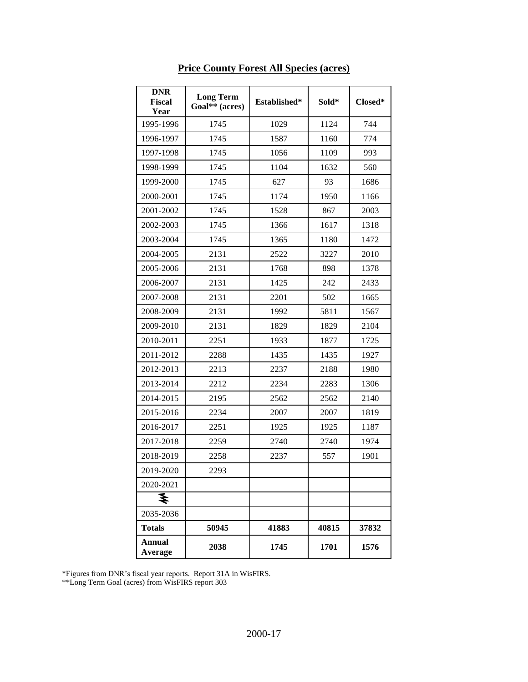| <b>DNR</b><br><b>Fiscal</b><br>Year | <b>Long Term</b><br>Goal** (acres) | Established* | Sold* | Closed* |
|-------------------------------------|------------------------------------|--------------|-------|---------|
| 1995-1996                           | 1745                               | 1029         | 1124  | 744     |
| 1996-1997                           | 1745                               | 1587         | 1160  | 774     |
| 1997-1998                           | 1745                               | 1056         | 1109  | 993     |
| 1998-1999                           | 1745                               | 1104         | 1632  | 560     |
| 1999-2000                           | 1745                               | 627          | 93    | 1686    |
| 2000-2001                           | 1745                               | 1174         | 1950  | 1166    |
| 2001-2002                           | 1745                               | 1528         | 867   | 2003    |
| 2002-2003                           | 1745                               | 1366         | 1617  | 1318    |
| 2003-2004                           | 1745                               | 1365         | 1180  | 1472    |
| 2004-2005                           | 2131                               | 2522         | 3227  | 2010    |
| 2005-2006                           | 2131                               | 1768         | 898   | 1378    |
| 2006-2007                           | 2131                               | 1425         | 242   | 2433    |
| 2007-2008                           | 2131                               | 2201         | 502   | 1665    |
| 2008-2009                           | 2131                               | 1992         | 5811  | 1567    |
| 2009-2010                           | 2131                               | 1829         | 1829  | 2104    |
| 2010-2011                           | 2251                               | 1933         | 1877  | 1725    |
| 2011-2012                           | 2288                               | 1435         | 1435  | 1927    |
| 2012-2013                           | 2213                               | 2237         | 2188  | 1980    |
| 2013-2014                           | 2212                               | 2234         | 2283  | 1306    |
| 2014-2015                           | 2195                               | 2562         | 2562  | 2140    |
| 2015-2016                           | 2234                               | 2007         | 2007  | 1819    |
| 2016-2017                           | 2251                               | 1925         | 1925  | 1187    |
| 2017-2018                           | 2259                               | 2740         | 2740  | 1974    |
| 2018-2019                           | 2258                               | 2237         | 557   | 1901    |
| 2019-2020                           | 2293                               |              |       |         |
| 2020-2021                           |                                    |              |       |         |
| ₹                                   |                                    |              |       |         |
| 2035-2036                           |                                    |              |       |         |
| <b>Totals</b>                       | 50945                              | 41883        | 40815 | 37832   |
| <b>Annual</b><br>Average            | 2038                               | 1745         | 1701  | 1576    |

### **Price County Forest All Species (acres)**

\*Figures from DNR's fiscal year reports. Report 31A in WisFIRS.

<span id="page-16-0"></span>\*\*Long Term Goal (acres) from WisFIRS report 303